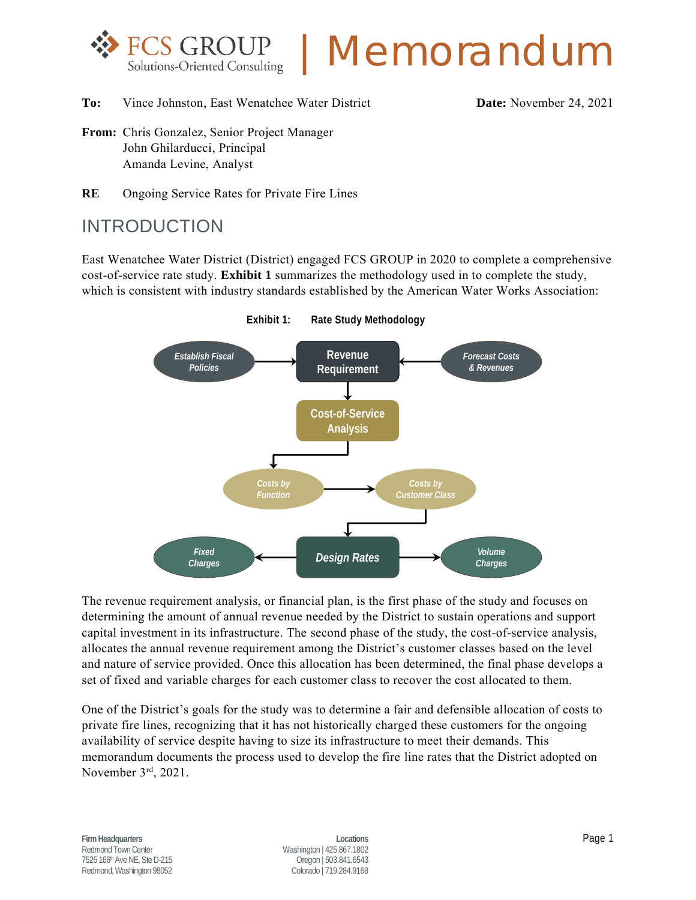

# |Memorandum

**To:** Vince Johnston, East Wenatchee Water District **Date:** November 24, 2021

- **From:** Chris Gonzalez, Senior Project Manager John Ghilarducci, Principal Amanda Levine, Analyst
- **RE** Ongoing Service Rates for Private Fire Lines

## INTRODUCTION

East Wenatchee Water District (District) engaged FCS GROUP in 2020 to complete a comprehensive cost-of-service rate study. **Exhibit 1** summarizes the methodology used in to complete the study, which is consistent with industry standards established by the American Water Works Association:



**Exhibit 1: Rate Study Methodology**

The revenue requirement analysis, or financial plan, is the first phase of the study and focuses on determining the amount of annual revenue needed by the District to sustain operations and support capital investment in its infrastructure. The second phase of the study, the cost-of-service analysis, allocates the annual revenue requirement among the District's customer classes based on the level and nature of service provided. Once this allocation has been determined, the final phase develops a set of fixed and variable charges for each customer class to recover the cost allocated to them.

One of the District's goals for the study was to determine a fair and defensible allocation of costs to private fire lines, recognizing that it has not historically charged these customers for the ongoing availability of service despite having to size its infrastructure to meet their demands. This memorandum documents the process used to develop the fire line rates that the District adopted on November 3rd, 2021.

**Firm Headquarters Locations** Page 1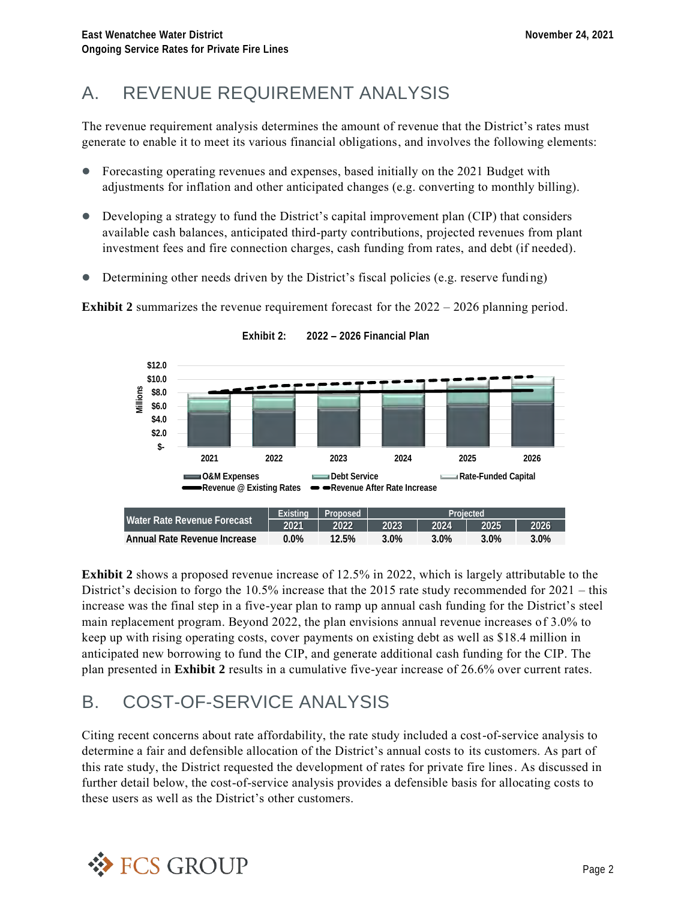# A. REVENUE REQUIREMENT ANALYSIS

The revenue requirement analysis determines the amount of revenue that the District's rates must generate to enable it to meet its various financial obligations, and involves the following elements:

- ⚫ Forecasting operating revenues and expenses, based initially on the 2021 Budget with adjustments for inflation and other anticipated changes (e.g. converting to monthly billing).
- Developing a strategy to fund the District's capital improvement plan (CIP) that considers available cash balances, anticipated third-party contributions, projected revenues from plant investment fees and fire connection charges, cash funding from rates, and debt (if needed).
- ⚫ Determining other needs driven by the District's fiscal policies (e.g. reserve funding)

**Exhibit 2** summarizes the revenue requirement forecast for the 2022 – 2026 planning period.



**Exhibit 2: 2022 – 2026 Financial Plan**

**Exhibit 2** shows a proposed revenue increase of 12.5% in 2022, which is largely attributable to the District's decision to forgo the 10.5% increase that the 2015 rate study recommended for 2021 – this increase was the final step in a five-year plan to ramp up annual cash funding for the District's steel main replacement program. Beyond 2022, the plan envisions annual revenue increases of 3.0% to keep up with rising operating costs, cover payments on existing debt as well as \$18.4 million in anticipated new borrowing to fund the CIP, and generate additional cash funding for the CIP. The plan presented in **Exhibit 2** results in a cumulative five-year increase of 26.6% over current rates.

# B. COST-OF-SERVICE ANALYSIS

Citing recent concerns about rate affordability, the rate study included a cost-of-service analysis to determine a fair and defensible allocation of the District's annual costs to its customers. As part of this rate study, the District requested the development of rates for private fire lines. As discussed in further detail below, the cost-of-service analysis provides a defensible basis for allocating costs to these users as well as the District's other customers.

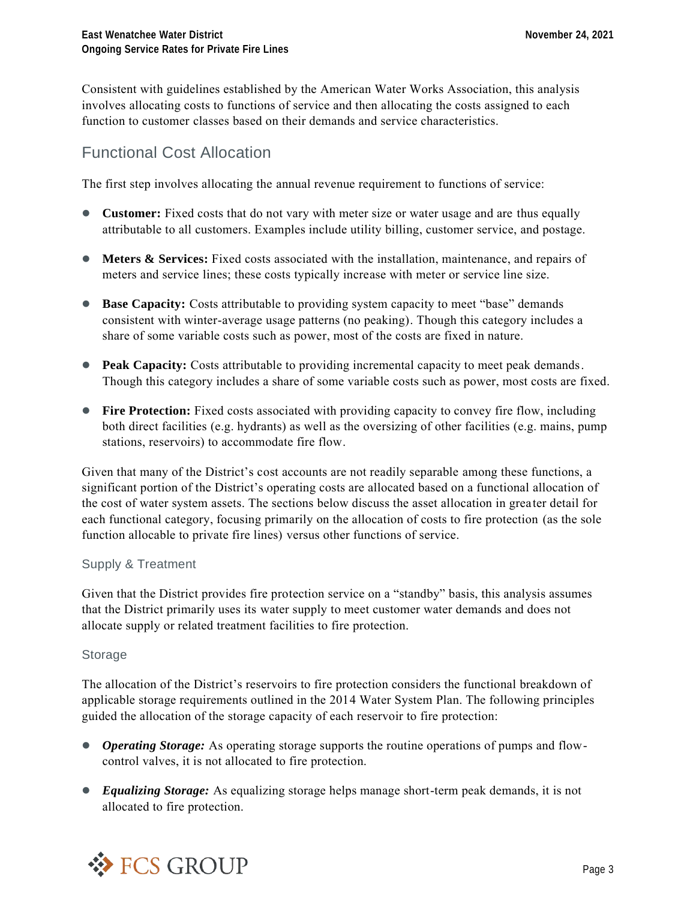Consistent with guidelines established by the American Water Works Association, this analysis involves allocating costs to functions of service and then allocating the costs assigned to each function to customer classes based on their demands and service characteristics.

## Functional Cost Allocation

The first step involves allocating the annual revenue requirement to functions of service:

- **Customer:** Fixed costs that do not vary with meter size or water usage and are thus equally attributable to all customers. Examples include utility billing, customer service, and postage.
- **Meters & Services:** Fixed costs associated with the installation, maintenance, and repairs of meters and service lines; these costs typically increase with meter or service line size.
- **Base Capacity:** Costs attributable to providing system capacity to meet "base" demands consistent with winter-average usage patterns (no peaking). Though this category includes a share of some variable costs such as power, most of the costs are fixed in nature.
- **Peak Capacity:** Costs attributable to providing incremental capacity to meet peak demands. Though this category includes a share of some variable costs such as power, most costs are fixed.
- **Fire Protection:** Fixed costs associated with providing capacity to convey fire flow, including both direct facilities (e.g. hydrants) as well as the oversizing of other facilities (e.g. mains, pump stations, reservoirs) to accommodate fire flow.

Given that many of the District's cost accounts are not readily separable among these functions, a significant portion of the District's operating costs are allocated based on a functional allocation of the cost of water system assets. The sections below discuss the asset allocation in greater detail for each functional category, focusing primarily on the allocation of costs to fire protection (as the sole function allocable to private fire lines) versus other functions of service.

#### Supply & Treatment

Given that the District provides fire protection service on a "standby" basis, this analysis assumes that the District primarily uses its water supply to meet customer water demands and does not allocate supply or related treatment facilities to fire protection.

#### Storage

The allocation of the District's reservoirs to fire protection considers the functional breakdown of applicable storage requirements outlined in the 2014 Water System Plan. The following principles guided the allocation of the storage capacity of each reservoir to fire protection:

- *Operating Storage:* As operating storage supports the routine operations of pumps and flowcontrol valves, it is not allocated to fire protection.
- ⚫ *Equalizing Storage:* As equalizing storage helps manage short-term peak demands, it is not allocated to fire protection.

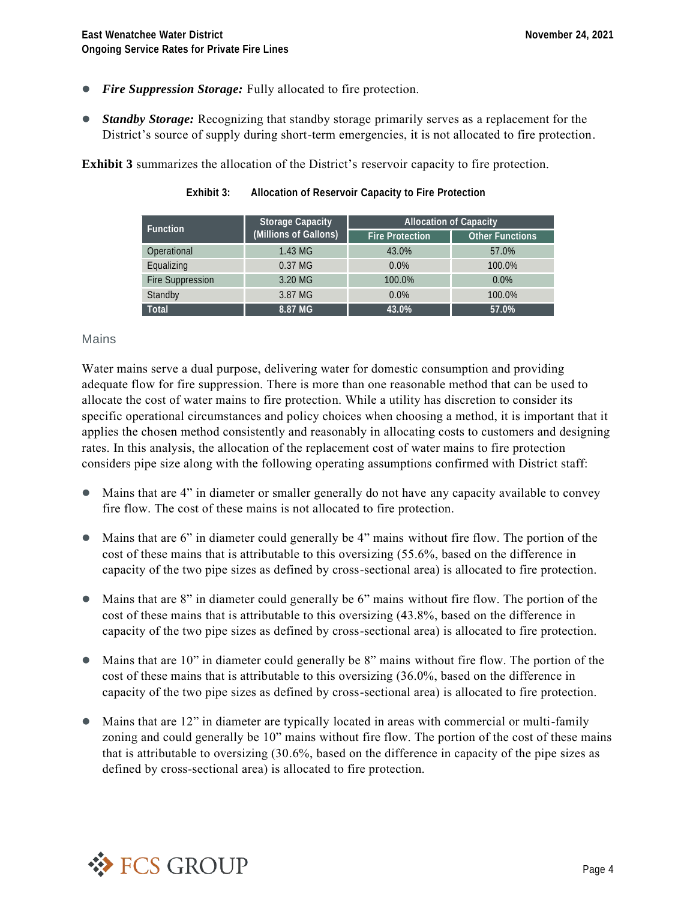- *Fire Suppression Storage:* Fully allocated to fire protection.
- *Standby Storage:* Recognizing that standby storage primarily serves as a replacement for the District's source of supply during short-term emergencies, it is not allocated to fire protection.

**Exhibit 3** summarizes the allocation of the District's reservoir capacity to fire protection.

| Function         | Storage Capacity      | Allocation of Capacity |                 |  |  |
|------------------|-----------------------|------------------------|-----------------|--|--|
|                  | (Millions of Gallons) | Fire Protection        | Other Functions |  |  |
| Operational      | 1.43 MG               | 43.0%                  | 57.0%           |  |  |
| Equalizing       | 0.37 MG               | 0.0%                   | 100.0%          |  |  |
| Fire Suppression | 3.20 MG               | 100.0%                 | 0.0%            |  |  |
| Standby          | 3.87 MG               | 0.0%                   | 100.0%          |  |  |
| Total            | 8.87 MG               | 43.0%                  | 57.0%           |  |  |

**Exhibit 3: Allocation of Reservoir Capacity to Fire Protection**

#### Mains

Water mains serve a dual purpose, delivering water for domestic consumption and providing adequate flow for fire suppression. There is more than one reasonable method that can be used to allocate the cost of water mains to fire protection. While a utility has discretion to consider its specific operational circumstances and policy choices when choosing a method, it is important that it applies the chosen method consistently and reasonably in allocating costs to customers and designing rates. In this analysis, the allocation of the replacement cost of water mains to fire protection considers pipe size along with the following operating assumptions confirmed with District staff:

- ⚫ Mains that are 4" in diameter or smaller generally do not have any capacity available to convey fire flow. The cost of these mains is not allocated to fire protection.
- ⚫ Mains that are 6" in diameter could generally be 4" mains without fire flow. The portion of the cost of these mains that is attributable to this oversizing (55.6%, based on the difference in capacity of the two pipe sizes as defined by cross-sectional area) is allocated to fire protection.
- ⚫ Mains that are 8" in diameter could generally be 6" mains without fire flow. The portion of the cost of these mains that is attributable to this oversizing (43.8%, based on the difference in capacity of the two pipe sizes as defined by cross-sectional area) is allocated to fire protection.
- ⚫ Mains that are 10" in diameter could generally be 8" mains without fire flow. The portion of the cost of these mains that is attributable to this oversizing (36.0%, based on the difference in capacity of the two pipe sizes as defined by cross-sectional area) is allocated to fire protection.
- ⚫ Mains that are 12" in diameter are typically located in areas with commercial or multi-family zoning and could generally be 10" mains without fire flow. The portion of the cost of these mains that is attributable to oversizing (30.6%, based on the difference in capacity of the pipe sizes as defined by cross-sectional area) is allocated to fire protection.

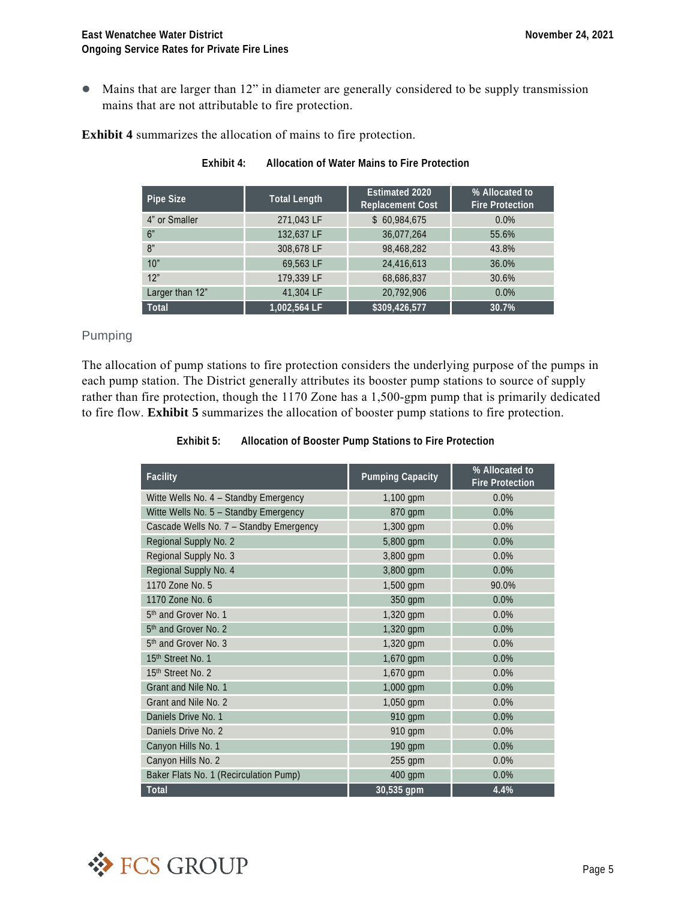⚫ Mains that are larger than 12" in diameter are generally considered to be supply transmission mains that are not attributable to fire protection.

#### **Exhibit 4** summarizes the allocation of mains to fire protection.

| Pipe Size       | Total Length | Estimated 2020<br>Replacement Cost | % Allocated to<br>Fire Protection |
|-----------------|--------------|------------------------------------|-----------------------------------|
| 4" or Smaller   | 271,043 LF   | \$60,984,675                       | $0.0\%$                           |
| 6"              | 132,637 LF   | 36,077,264                         | 55.6%                             |
| 8"              | 308.678 LF   | 98.468.282                         | 43.8%                             |
| 10"             | 69.563 LF    | 24,416,613                         | 36.0%                             |
| 12"             | 179,339 LF   | 68,686,837                         | 30.6%                             |
| Larger than 12" | 41,304 LF    | 20,792,906                         | 0.0%                              |
| Total           | 1,002,564 LF | \$309,426,577                      | 30.7%                             |

**Exhibit 4: Allocation of Water Mains to Fire Protection**

#### Pumping

The allocation of pump stations to fire protection considers the underlying purpose of the pumps in each pump station. The District generally attributes its booster pump stations to source of supply rather than fire protection, though the 1170 Zone has a 1,500-gpm pump that is primarily dedicated to fire flow. **Exhibit 5** summarizes the allocation of booster pump stations to fire protection.

> **Facility Pumping Capacity % Allocated to Fire Protection** Witte Wells No. 4 – Standby Emergency 1,100 gpm 0.0% Witte Wells No. 5 - Standby Emergency 870 gpm 0.0% Cascade Wells No. 7 – Standby Emergency 1,300 gpm 0.0% Regional Supply No. 2 5,800 gpm 0.0% Regional Supply No. 3 3,800 gpm 0.0% Regional Supply No. 4 3,800 gpm 0.0% 1170 Zone No. 5 1,500 gpm 90.0% 1170 Zone No. 6 350 gpm 0.0% 5<sup>th</sup> and Grover No. 1 1,320 gpm 0.0% 5<sup>th</sup> and Grover No. 2 1,320 gpm 0.0% 5<sup>th</sup> and Grover No. 3 1,320 gpm 0.0% 15<sup>th</sup> Street No. 1 **1,670 gpm 0.0%** 15<sup>th</sup> Street No. 2 **1,670 gpm 0.0%** Grant and Nile No. 1 1,000 gpm 0.0% Grant and Nile No. 2 1,050 gpm 0.0% Daniels Drive No. 1 910 gpm 0.0% Daniels Drive No. 2 910 gpm 0.0% Canyon Hills No. 1 190 gpm 0.0% Canyon Hills No. 2 255 gpm 0.0% Baker Flats No. 1 (Recirculation Pump) 400 gpm 0.0% **Total 30,535 gpm 4.4%**

**Exhibit 5: Allocation of Booster Pump Stations to Fire Protection**

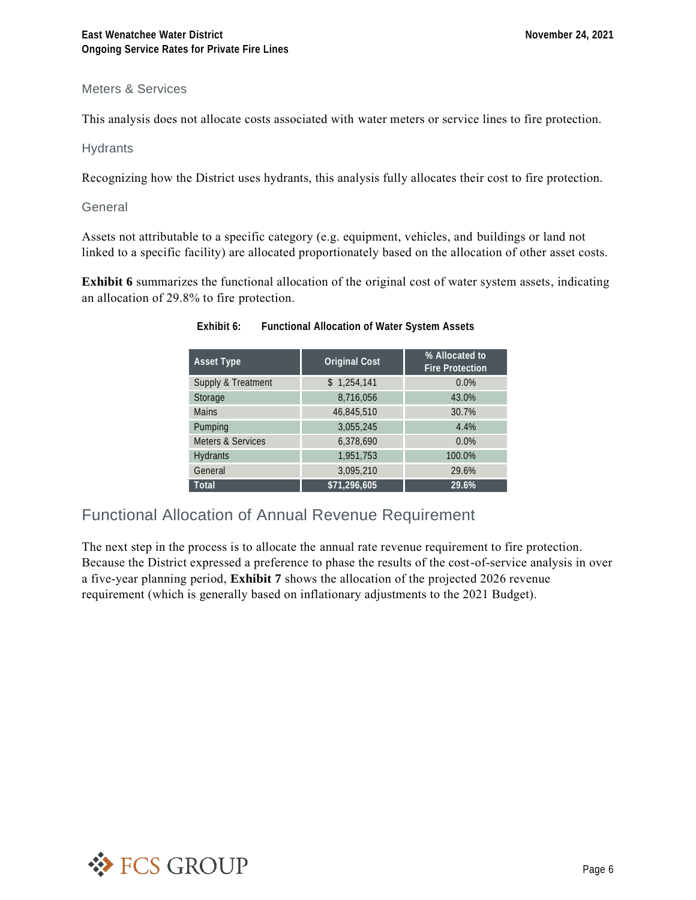#### Meters & Services

This analysis does not allocate costs associated with water meters or service lines to fire protection.

Hydrants

Recognizing how the District uses hydrants, this analysis fully allocates their cost to fire protection.

**General** 

Assets not attributable to a specific category (e.g. equipment, vehicles, and buildings or land not linked to a specific facility) are allocated proportionately based on the allocation of other asset costs.

**Exhibit 6** summarizes the functional allocation of the original cost of water system assets, indicating an allocation of 29.8% to fire protection.

| Asset Type         | Original Cost | % Allocated to<br><b>Fire Protection</b> |  |  |
|--------------------|---------------|------------------------------------------|--|--|
| Supply & Treatment | \$1,254,141   | 0.0%                                     |  |  |
| Storage            | 8,716,056     | 43.0%                                    |  |  |
| <b>Mains</b>       | 46,845,510    | 30.7%                                    |  |  |
| Pumping            | 3,055,245     | 4.4%                                     |  |  |
| Meters & Services  | 6,378,690     | 0.0%                                     |  |  |
| Hydrants           | 1,951,753     | 100.0%                                   |  |  |
| General            | 3,095,210     | 29.6%                                    |  |  |
| Total              | \$71,296,605  | 29.6%                                    |  |  |

| Exhibit 6: | Functional Allocation of Water System Assets |  |  |
|------------|----------------------------------------------|--|--|
|            |                                              |  |  |

## Functional Allocation of Annual Revenue Requirement

The next step in the process is to allocate the annual rate revenue requirement to fire protection. Because the District expressed a preference to phase the results of the cost-of-service analysis in over a five-year planning period, **Exhibit 7** shows the allocation of the projected 2026 revenue requirement (which is generally based on inflationary adjustments to the 2021 Budget).

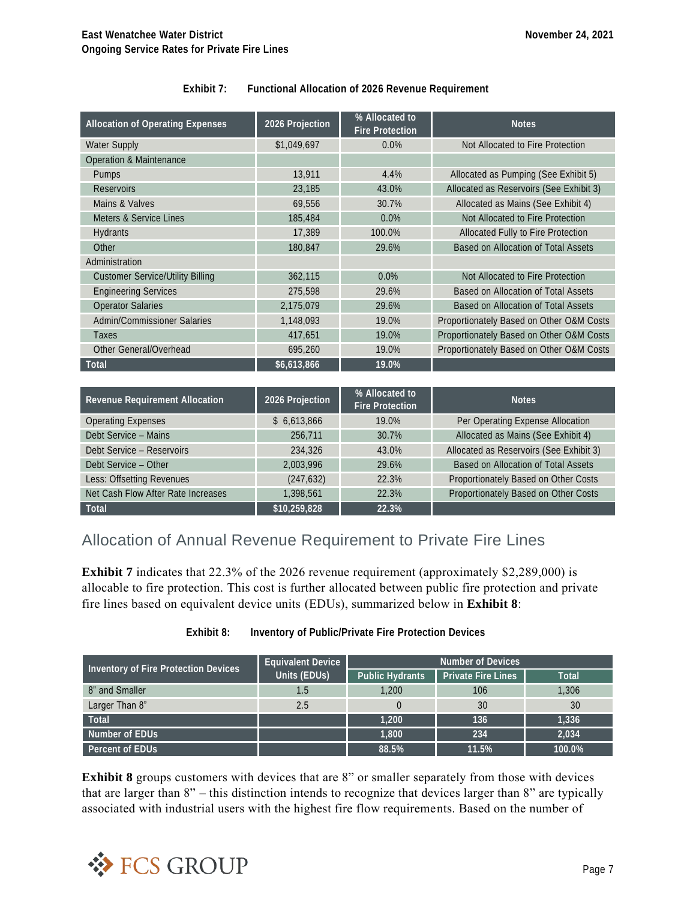| Exhibit 7: | Functional Allocation of 2026 Revenue Requirement |
|------------|---------------------------------------------------|
|------------|---------------------------------------------------|

| Allocation of Operating Expenses        | 2026 Projection | % Allocated to<br>Fire Protection | <b>Notes</b>                             |
|-----------------------------------------|-----------------|-----------------------------------|------------------------------------------|
| Water Supply                            | \$1,049,697     | 0.0%                              | Not Allocated to Fire Protection         |
| Operation & Maintenance                 |                 |                                   |                                          |
| Pumps                                   | 13,911          | 4.4%                              | Allocated as Pumping (See Exhibit 5)     |
| <b>Reservoirs</b>                       | 23,185          | 43.0%                             | Allocated as Reservoirs (See Exhibit 3)  |
| Mains & Valves                          | 69,556          | 30.7%                             | Allocated as Mains (See Exhibit 4)       |
| Meters & Service Lines                  | 185,484         | 0.0%                              | Not Allocated to Fire Protection         |
| Hydrants                                | 17,389          | 100.0%                            | Allocated Fully to Fire Protection       |
| Other                                   | 180,847         | 29.6%                             | Based on Allocation of Total Assets      |
| Administration                          |                 |                                   |                                          |
| <b>Customer Service/Utility Billing</b> | 362,115         | 0.0%                              | Not Allocated to Fire Protection         |
| <b>Engineering Services</b>             | 275,598         | 29.6%                             | Based on Allocation of Total Assets      |
| <b>Operator Salaries</b>                | 2,175,079       | 29.6%                             | Based on Allocation of Total Assets      |
| Admin/Commissioner Salaries             | 1,148,093       | 19.0%                             | Proportionately Based on Other O&M Costs |
| Taxes                                   | 417,651         | 19.0%                             | Proportionately Based on Other O&M Costs |
| Other General/Overhead                  | 695.260         | 19.0%                             | Proportionately Based on Other O&M Costs |
| Total                                   | \$6,613,866     | 19.0%                             |                                          |
|                                         |                 |                                   |                                          |

| Revenue Requirement Allocation     | 2026 Projection | % Allocated to<br>Fire Protection | <b>Notes</b>                            |
|------------------------------------|-----------------|-----------------------------------|-----------------------------------------|
| <b>Operating Expenses</b>          | \$6,613,866     | 19.0%                             | Per Operating Expense Allocation        |
| Debt Service - Mains               | 256,711         | 30.7%                             | Allocated as Mains (See Exhibit 4)      |
| Debt Service - Reservoirs          | 234,326         | 43.0%                             | Allocated as Reservoirs (See Exhibit 3) |
| Debt Service - Other               | 2.003.996       | 29.6%                             | Based on Allocation of Total Assets     |
| Less: Offsetting Revenues          | (247, 632)      | 22.3%                             | Proportionately Based on Other Costs    |
| Net Cash Flow After Rate Increases | 1.398.561       | 22.3%                             | Proportionately Based on Other Costs    |
| Total                              | \$10,259,828    | 22.3%                             |                                         |

## Allocation of Annual Revenue Requirement to Private Fire Lines

**Exhibit 7** indicates that 22.3% of the 2026 revenue requirement (approximately \$2,289,000) is allocable to fire protection. This cost is further allocated between public fire protection and private fire lines based on equivalent device units (EDUs), summarized below in **Exhibit 8**:

| Inventory of Fire Protection Devices | Equivalent Device | Number of Devices |                    |        |  |
|--------------------------------------|-------------------|-------------------|--------------------|--------|--|
|                                      | Units (EDUs)      | Public Hydrants   | Private Fire Lines | Total  |  |
| 8" and Smaller                       | 1.5               | 1.200             | 106                | 1.306  |  |
| Larger Than 8"                       | 2.5               |                   | 30                 | 30     |  |
| Total                                |                   | 1.200             | 136                | 1.336  |  |
| Number of EDUs                       |                   | 1.800             | 234                | 2.034  |  |
| Percent of EDUs                      |                   | 88.5%             | 11.5%              | 100.0% |  |

**Exhibit 8: Inventory of Public/Private Fire Protection Devices**

**Exhibit 8** groups customers with devices that are 8" or smaller separately from those with devices that are larger than 8" – this distinction intends to recognize that devices larger than 8" are typically associated with industrial users with the highest fire flow requirements. Based on the number of